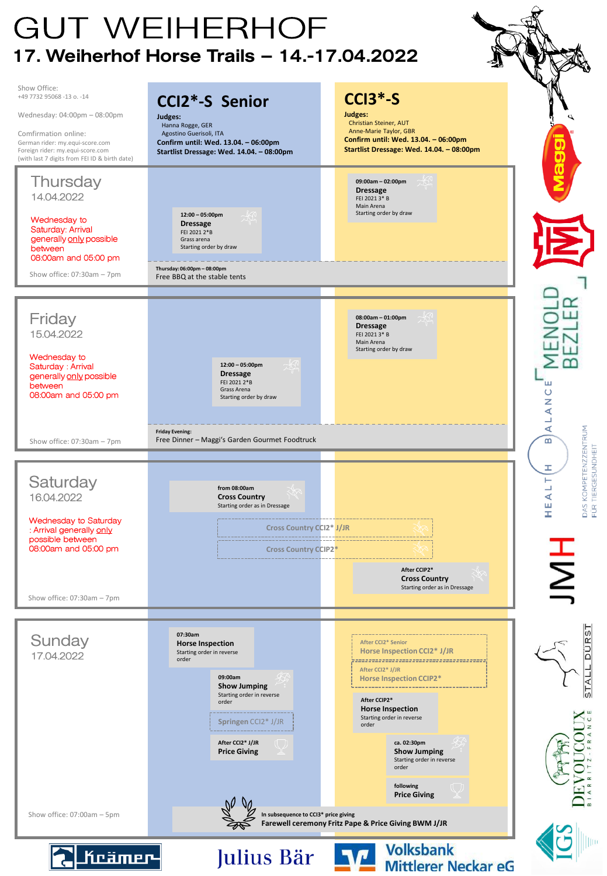## **GUT WEIHERHOF** 17. Weiherhof Horse Trails – 14.-17.04.2022

Show Office: **CCI3\*-S** +49 7732 95068 -13 o. -14 **CCI2\*-S Senior Judges:** Wednesday: 04:00pm – 08:00pm **Judges:** Christian Steiner, AUT Hanna Rogge, GER Anne-Marie Taylor, GBR Comfirmation online: Agostino Guerisoli, ITA **Confirm until: Wed. 13.04. – 06:00pm** German rider: my.equi-score.com **Confirm until: Wed. 13.04. – 06:00pm Startlist Dressage: Wed. 14.04. – 08:00pm** Foreign rider: my.equi-score.com **Startlist Dressage: Wed. 14.04. – 08:00pm** (with last 7 digits from FEI ID & birth date) Thursdav **09:00am – 02:00pm Dressage** 14.04.2022 FEI 2021 3\* B Main Arena Starting order by draw **12:00 – 05:00pm** Wednesday to **Dressage** Saturday: Arrival FEI 2021 2\*B generally only possible Grass arena between Starting order by draw 08:00am and 05:00 pm **Thursday: 06:00pm – 08:00pm** Show office: 07:30am – 7pm Free BBQ at the stable tents Friday **08:00am – 01:00pm Dressage** 15.04.2022 FEI 2021 3\* B Main Arena Starting order by draw Wednesday to Saturday : Arrival **12:00 – 05:00pm Dressage** generally only possible FEI 2021 2\*B ш between Grass Arena  $\overline{O}$ 08:00am and 05:00 pm Starting order by draw ž ₹  $\Box$ ∢ DAS KOMPETENZZENTRUM **Friday Evening:**  Free Dinner – Maggi's Garden Gourmet Foodtruck  $\mathbf{m}$ Show office: 07:30am – 7pm TIERGESUNDHEIT Ŧ Saturday Н ℶ **from 08:00am** 16.04.2022 **Cross Country** ⋖ Starting order as in Dressage ш FÜR Ŧ Wednesday to Saturday **Cross Country CCI2\* J/JR** : Arrival generally only possible between bood 08:00am and 05:00 pm **Cross Country CCIP2\* After CCIP2\* Cross Country** Starting order as in Dressage Show office: 07:30am – 7pm STALL DURST **07:30am** Sundav **After CCI2\* Senior Horse Inspection Horse Inspection CCI2\* J/JR** 17.04.2022 Starting order in reverse order **After CCI2\* J/JR 09:00am Horse Inspection CCIP2\* Show Jumping** Starting order in reverse **After CCIP2\*** order **Horse Inspection** Starting order in reverse **Springen** CCI2\* J/JR order **After CCI2\* J/JR ca. 02:30pm Price Giving Show Jumping** Starting order in reverse order **following Price Giving** Show office: 07:00am – 5pm **In subsequence to CCI3\* price giving Farewell ceremony Fritz Pape & Price Giving BWM J/JRVolksbank**  $\mathbf{v}$ Julius Bär Keämer-**Mittlerer Neckar eG**